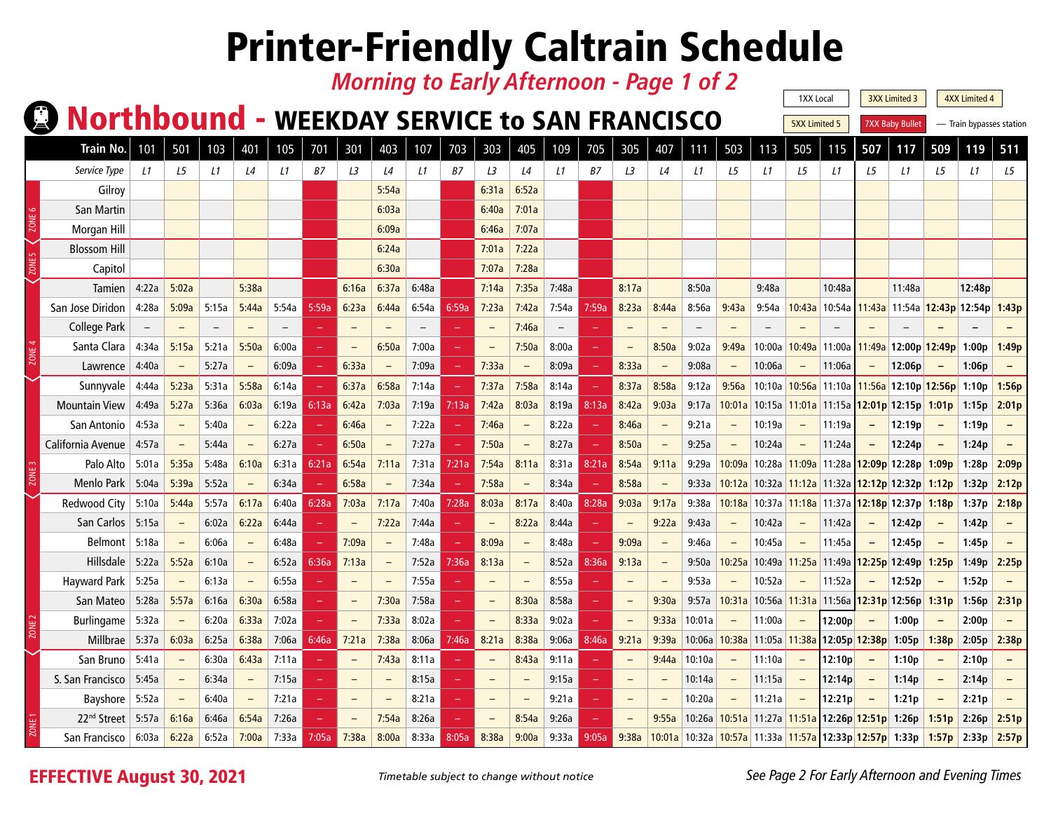#### *Morning to Early Afternoon - Page 1 of 2*

#### **Q Northbound - WEEKDAY SERVICE to SAN FRANCISCO**

1XX Local | 3XX Limited 3 4XX Limited 4 **5XX Limited 5** 7XX Baby Bullet — Train bypasses station

| <b>Train No.</b>        | 101                      | 501                      | 103   | 401                      | 105   | 701           | 301   | 403                      | 107   | 703   | 303                      | 405                      | 109                      | 705   | 305                      | 407   | 111                                                                      | 503                      | 113                         | 505                             | 115                                                        | 507                      | 117                               | 509                      | 119    | 511   |
|-------------------------|--------------------------|--------------------------|-------|--------------------------|-------|---------------|-------|--------------------------|-------|-------|--------------------------|--------------------------|--------------------------|-------|--------------------------|-------|--------------------------------------------------------------------------|--------------------------|-----------------------------|---------------------------------|------------------------------------------------------------|--------------------------|-----------------------------------|--------------------------|--------|-------|
| Service Type            | $\perp$ 1                | L5                       | L1    | L4                       | L1    | B7            | L3    | L4                       | L1    | B7    | L3                       | $\mathsf{L}4$            | L1                       | B7    | L3                       | L4    | L1                                                                       | L5                       | L1                          | L5                              | L1                                                         | L5                       | L1                                | L5                       | L1     | L5    |
| Gilroy                  |                          |                          |       |                          |       |               |       | 5:54a                    |       |       | 6:31a                    | 6:52a                    |                          |       |                          |       |                                                                          |                          |                             |                                 |                                                            |                          |                                   |                          |        |       |
| San Martin              |                          |                          |       |                          |       |               |       | 6:03a                    |       |       | 6:40a                    | 7:01a                    |                          |       |                          |       |                                                                          |                          |                             |                                 |                                                            |                          |                                   |                          |        |       |
| Morgan Hill             |                          |                          |       |                          |       |               |       | 6:09a                    |       |       | 6:46a                    | 7:07a                    |                          |       |                          |       |                                                                          |                          |                             |                                 |                                                            |                          |                                   |                          |        |       |
| <b>Blossom Hill</b>     |                          |                          |       |                          |       |               |       | 6:24a                    |       |       | 7:01a                    | 7:22a                    |                          |       |                          |       |                                                                          |                          |                             |                                 |                                                            |                          |                                   |                          |        |       |
| Capitol                 |                          |                          |       |                          |       |               |       | 6:30a                    |       |       | 7:07a                    | 7:28a                    |                          |       |                          |       |                                                                          |                          |                             |                                 |                                                            |                          |                                   |                          |        |       |
| <b>Tamien</b>           | 4:22a                    | 5:02a                    |       | 5:38a                    |       |               | 6:16a | 6:37a                    | 6:48a |       | 7:14a                    | 7:35a                    | 7:48a                    |       | 8:17a                    |       | 8:50a                                                                    |                          | 9:48a                       |                                 | 10:48a                                                     |                          | 11:48a                            |                          | 12:48p |       |
| San Jose Diridon        | 4:28a                    | 5:09a                    | 5:15a | 5:44a                    | 5:54a | 5:59a         | 6:23a | 6:44a                    | 6:54a | 6:59a | 7:23a                    | 7:42a                    | 7:54a                    | 7:59a | 8:23a                    | 8:44a | 8:56a                                                                    | 9:43a                    | 9:54a                       | 10:43a                          | 10:54a                                                     |                          | 11:43a 11:54a 12:43p 12:54p 1:43p |                          |        |       |
| <b>College Park</b>     | $\overline{\phantom{m}}$ | $-$                      |       | $\qquad \qquad -$        |       |               |       |                          |       |       | $\overline{\phantom{a}}$ | 7:46a                    | $\overline{\phantom{m}}$ |       |                          |       | $\overline{\phantom{m}}$                                                 |                          | $\overline{\phantom{0}}$    |                                 |                                                            |                          |                                   |                          |        |       |
| Santa Clara             | 4:34a                    | 5:15a                    | 5:21a | 5:50a                    | 6:00a | $\equiv$      |       | 6:50a                    | 7:00a |       | $\overline{\phantom{a}}$ | 7:50a                    | 8:00a                    |       | $\equiv$                 | 8:50a | 9:02a                                                                    | 9:49a                    | 10:00a                      |                                 | 10:49a 11:00a                                              |                          | 11:49a 12:00p 12:49p 1:00p        |                          |        | 1:49p |
| Lawrence                | 4:40a                    | $\overline{\phantom{0}}$ | 5:27a | $\equiv$                 | 6:09a | $\equiv$      | 6:33a | $\overline{\phantom{m}}$ | 7:09a |       | 7:33a                    | $\overline{\phantom{a}}$ | 8:09a                    |       | 8:33a                    |       | 9:08a                                                                    |                          | 10:06a                      | $\overline{\phantom{m}}$        | 11:06a                                                     |                          | 12:06p                            |                          | 1:06p  |       |
| Sunnyvale               | 4:44a                    | 5:23a                    | 5:31a | 5:58a                    | 6:14a |               | 6:37a | 6:58a                    | 7:14a |       | 7:37a                    | 7:58a                    | 8:14a                    |       | 8:37a                    | 8:58a | 9:12a                                                                    | 9:56a                    |                             |                                 | 10:10a 10:56a 11:10a 11:56a 12:10p 12:56p 1:10p            |                          |                                   |                          |        | 1:56p |
| <b>Mountain View</b>    | 4:49a                    | 5:27a                    | 5:36a | 6:03a                    | 6:19a | 6:13a         | 6:42a | 7:03a                    | 7:19a | 7:13a | 7:42a                    | 8:03a                    | 8:19a                    | 8:13a | 8:42a                    | 9:03a | 9:17a                                                                    | 10:01a                   |                             |                                 | 10:15a   11:01a   11:15a   12:01p   12:15p   1:01p   1:15p |                          |                                   |                          |        | 2:01p |
| San Antonio             | 4:53a                    | $\overline{\phantom{m}}$ | 5:40a | $\overline{\phantom{m}}$ | 6:22a | $\rightarrow$ | 6:46a | $\overline{\phantom{m}}$ | 7:22a |       | 7:46a                    | $\overline{\phantom{m}}$ | 8:22a                    |       | 8:46a                    |       | 9:21a                                                                    | $\equiv$                 | 10:19a                      | $\overline{\phantom{m}}$        | 11:19a                                                     | $\qquad \qquad =$        | 12:19p                            | $\overline{\phantom{m}}$ | 1:19p  |       |
| California Avenue       | 4:57a                    | $\qquad \qquad -$        | 5:44a | $\overline{\phantom{m}}$ | 6:27a | $\equiv$      | 6:50a | $\overline{\phantom{m}}$ | 7:27a |       | 7:50a                    |                          | 8:27a                    |       | 8:50a                    |       | 9:25a                                                                    |                          | 10:24a                      | $\overline{\phantom{a}}$        | 11:24a                                                     |                          | 12:24p                            |                          | 1:24p  |       |
| Palo Alto               | 5:01a                    | 5:35a                    | 5:48a | 6:10a                    | 6:31a | 6:21a         | 6:54a | 7:11a                    | 7:31a | 7:21a | 7:54a                    | 8:11a                    | 8:31a                    | 8:21a | 8:54a                    | 9:11a | 9:29a                                                                    | 10:09a                   |                             |                                 | 10:28a 11:09a 11:28a 12:09p 12:28p                         |                          |                                   | 1:09p                    | 1:28p  | 2:09p |
| Menlo Park              | 5:04a                    | 5:39a                    | 5:52a |                          | 6:34a |               | 6:58a |                          | 7:34a |       | 7:58a                    |                          | 8:34a                    |       | 8:58a                    |       | 9:33a                                                                    | 10:12a                   |                             |                                 | 10:32a   11:12a   11:32a   12:12p   12:32p   1:12p         |                          |                                   |                          | 1:32p  | 2:12p |
| <b>Redwood City</b>     | 5:10a                    | 5:44a                    | 5:57a | 6:17a                    | 6:40a | 6:28a         | 7:03a | 7:17a                    | 7:40a | 7:28a | 8:03a                    | 8:17a                    | 8:40a                    | 8:28a | 9:03a                    | 9:17a | 9:38a                                                                    | 10:18a                   |                             |                                 | 10:37a 11:18a 11:37a 12:18p 12:37p 1:18p                   |                          |                                   |                          | 1:37p  | 2:18p |
| San Carlos              | 5:15a                    | $-$                      | 6:02a | 6:22a                    | 6:44a |               |       | 7:22a                    | 7:44a |       | $\overline{\phantom{a}}$ | 8:22a                    | 8:44a                    |       | $\overline{\phantom{m}}$ | 9:22a | 9:43a                                                                    |                          | 10:42a                      | $\overline{\phantom{m}}$        | 11:42a                                                     | $\overline{\phantom{m}}$ | 12:42p                            |                          | 1:42p  |       |
| Belmont                 | 5:18a                    | $-$                      | 6:06a | $\overline{\phantom{a}}$ | 6:48a | $\equiv$      | 7:09a | $\overline{\phantom{m}}$ | 7:48a |       | 8:09a                    |                          | 8:48a                    |       | 9:09a                    |       | 9:46a                                                                    |                          | 10:45a                      | $\overline{\phantom{m}}$        | 11:45a                                                     |                          | 12:45p                            | $\qquad \qquad -$        | 1:45p  |       |
| Hillsdale               | 5:22a                    | 5:52a                    | 6:10a | $\overline{\phantom{a}}$ | 6:52a | 6:36a         | 7:13a | $\overline{\phantom{a}}$ | 7:52a | 7:36a | 8:13a                    | $\equiv$                 | 8:52a                    | 8:36a | 9:13a                    |       | 9:50a                                                                    | 10:25a                   |                             | 10:49a 11:25a                   |                                                            |                          | 11:49a <b>12:25p</b> 12:49p       | 1:25p                    | 1:49p  | 2:25p |
| Hayward Park            | 5:25a                    |                          | 6:13a | $\overline{\phantom{a}}$ | 6:55a |               |       | $\overline{\phantom{m}}$ | 7:55a |       | $\overline{\phantom{0}}$ |                          | 8:55a                    |       | $\overline{\phantom{0}}$ |       | 9:53a                                                                    |                          | 10:52a                      |                                 | 11:52a                                                     |                          | 12:52p                            |                          | 1:52p  |       |
| San Mateo               | 5:28a                    | 5:57a                    | 6:16a | 6:30a                    | 6:58a | $\equiv$      |       | 7:30a                    | 7:58a |       | $\overline{\phantom{a}}$ | 8:30a                    | 8:58a                    |       | $\equiv$                 | 9:30a | 9:57a                                                                    | 10:31a                   |                             |                                 | 10:56a 11:31a 11:56a 12:31p 12:56p 1:31p                   |                          |                                   |                          | 1:56p  | 2:31p |
| Burlingame              | 5:32a                    | $\overline{\phantom{m}}$ | 6:20a | 6:33a                    | 7:02a | $\equiv$      |       | 7:33a                    | 8:02a |       | $\overline{\phantom{a}}$ | 8:33a                    | 9:02a                    |       | $\equiv$                 | 9:33a | 10:01a                                                                   | $\overline{\phantom{m}}$ | 11:00a                      | $\hspace{0.1mm}-\hspace{0.1mm}$ | 12:00p                                                     | $\equiv$                 | 1:00p                             |                          | 2:00p  |       |
| Millbrae                | 5:37a                    | 6:03a                    | 6:25a | 6:38a                    | 7:06a | 6:46a         | 7:21a | 7:38a                    | 8:06a | 7:46a | 8:21a                    | 8:38a                    | 9:06a                    | 8:46a | 9:21a                    | 9:39a |                                                                          |                          | 10:06a 10:38a 11:05a 11:38a |                                 | 12:05p  <mark>12:38p</mark>   1:05p                        |                          |                                   | 1:38p                    | 2:05p  | 2:38p |
| San Bruno               | 5:41a                    | $\qquad \qquad -$        | 6:30a | 6:43a                    | 7:11a |               |       | 7:43a                    | 8:11a |       |                          | 8:43a                    | 9:11a                    |       | $\qquad \qquad -$        | 9:44a | 10:10a                                                                   |                          | 11:10a                      | $\qquad \qquad -$               | 12:10p                                                     | $\qquad \qquad -$        | 1:10p                             |                          | 2:10p  |       |
| S. San Francisco        | 5:45a                    |                          | 6:34a | $\overline{\phantom{m}}$ | 7:15a | $\equiv$      |       | $\overline{\phantom{m}}$ | 8:15a |       | $\qquad \qquad -$        |                          | 9:15a                    |       | $\qquad \qquad -$        |       | 10:14a                                                                   |                          | 11:15a                      | $\equiv$                        | 12:14p                                                     |                          | 1:14p                             |                          | 2:14p  |       |
| Bayshore                | 5:52a                    |                          | 6:40a | $\overline{\phantom{a}}$ | 7:21a | $\equiv$      |       | $\overline{\phantom{a}}$ | 8:21a |       | $\overline{\phantom{a}}$ |                          | 9:21a                    |       | $\equiv$                 |       | 10:20a                                                                   |                          | 11:21a                      | $\overline{\phantom{a}}$        | 12:21p                                                     |                          | 1:21p                             | $\qquad \qquad$          | 2:21p  |       |
| 22 <sup>nd</sup> Street | 5:57a                    | 6:16a                    | 6:46a | 6:54a                    | 7:26a |               |       | 7:54a                    | 8:26a |       |                          | 8:54a                    | 9:26a                    |       | $\qquad \qquad -$        | 9:55a |                                                                          |                          |                             |                                 | 10:26a 10:51a 11:27a 11:51a 12:26p 12:51p 1:26p            |                          |                                   | 1:51p                    | 2:26p  | 2:51p |
| San Francisco           | 6:03а                    | 6:22a                    | 6:52a | 7:00a                    | 7:33a | 7:05a         | 7:38a | 8:00a                    | 8:33a | 8:05a | 8:38a                    | 9:00a                    | 9:33a                    | 9:05a | 9:38a                    |       | 10:01a 10:32a 10:57a 11:33a 11:57a 12:33p 12:57p 1:33p 1:57p 2:33p 2:57p |                          |                             |                                 |                                                            |                          |                                   |                          |        |       |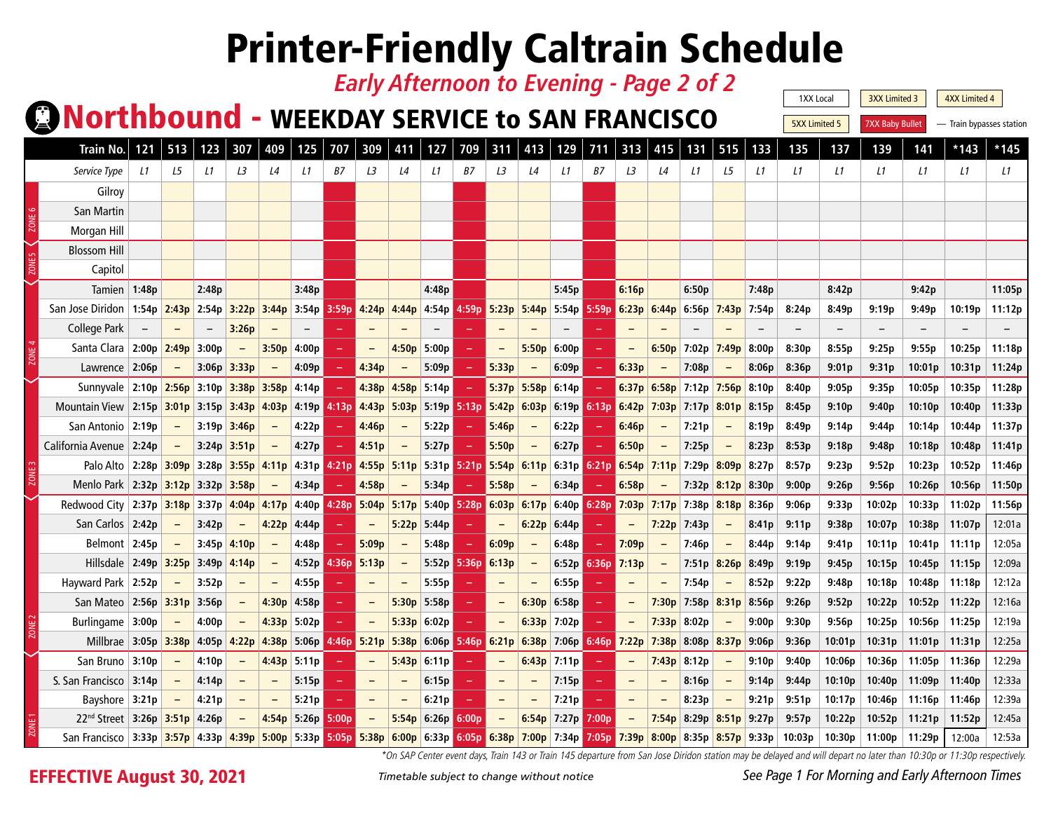#### *Early Afternoon to Evening - Page 2 of 2*

### **CONorthbound - WEEKDAY SERVICE to SAN FRANCISCO**

1XX Local | 3XX Limited 3 | 4XX Limited 4 **5XX Limited 5** 7XX Baby Bullet – Train bypasses station

| <b>Train No.</b>                                                                                                                             |                   | 513                 | 123   | 307           | 409   | 125                     | 707   | 309           | 411                      | 127                                                                                                   | 709      | 311                                                   | 413      | 129         | 711         | 313                                 |                          | 131                             | 515                 | 133           | 135               | 137    | 139    | 141                | $*143$ | *145   |
|----------------------------------------------------------------------------------------------------------------------------------------------|-------------------|---------------------|-------|---------------|-------|-------------------------|-------|---------------|--------------------------|-------------------------------------------------------------------------------------------------------|----------|-------------------------------------------------------|----------|-------------|-------------|-------------------------------------|--------------------------|---------------------------------|---------------------|---------------|-------------------|--------|--------|--------------------|--------|--------|
| Service Type                                                                                                                                 | L1                | L5                  | L1    | L3            | L4    | L1                      | B7    | LЗ            | L4                       | L1                                                                                                    | B7       | L3                                                    | L4       | L1          | B7          | LЗ                                  | L4                       | L1                              | L <sub>5</sub>      | L1            | L1                | L1     | L1     | L1                 | L1     | L1     |
| Gilroy                                                                                                                                       |                   |                     |       |               |       |                         |       |               |                          |                                                                                                       |          |                                                       |          |             |             |                                     |                          |                                 |                     |               |                   |        |        |                    |        |        |
| San Martin                                                                                                                                   |                   |                     |       |               |       |                         |       |               |                          |                                                                                                       |          |                                                       |          |             |             |                                     |                          |                                 |                     |               |                   |        |        |                    |        |        |
| Morgan Hill                                                                                                                                  |                   |                     |       |               |       |                         |       |               |                          |                                                                                                       |          |                                                       |          |             |             |                                     |                          |                                 |                     |               |                   |        |        |                    |        |        |
| <b>Blossom Hill</b>                                                                                                                          |                   |                     |       |               |       |                         |       |               |                          |                                                                                                       |          |                                                       |          |             |             |                                     |                          |                                 |                     |               |                   |        |        |                    |        |        |
| Capitol                                                                                                                                      |                   |                     |       |               |       |                         |       |               |                          |                                                                                                       |          |                                                       |          |             |             |                                     |                          |                                 |                     |               |                   |        |        |                    |        |        |
| Tamien                                                                                                                                       | 1:48p             |                     | 2:48p |               |       | 3:48p                   |       |               |                          | 4:48p                                                                                                 |          |                                                       |          | 5:45p       |             | 6:16p                               |                          | 6:50p                           |                     | 7:48p         |                   | 8:42p  |        | 9:42p              |        | 11:05p |
| San Jose Diridon                                                                                                                             |                   | 1:54p $2:43p$ 2:54p |       |               |       |                         |       |               |                          | 3:22p 3:44p 3:54p 3:59p 4:24p 4:44p 4:54p 4:59p 5:23p 5:44p 5:54p 5:59p 6:23p 6:44p 6:56p 7:43p 7:54p |          |                                                       |          |             |             |                                     |                          |                                 |                     |               | 8:24p             | 8:49p  | 9:19p  | 9:49p              | 10:19p | 11:12p |
| College Park                                                                                                                                 |                   |                     |       | 3:26p         |       |                         |       |               |                          |                                                                                                       |          |                                                       |          |             |             |                                     |                          |                                 |                     |               |                   |        |        |                    |        |        |
| Santa Clara                                                                                                                                  | 2:00p 2:49p 3:00p |                     |       |               | 3:50p | 4:00p                   |       |               | 4:50p                    | 5:00p                                                                                                 |          |                                                       | 5:50p    | 6:00p       |             |                                     |                          | 6:50p 7:02p                     | 7:49p               | 8:00p         | 8:30p             | 8:55p  | 9:25p  | 9:55p              | 10:25p | 11:18p |
| Lawrence 2:06p                                                                                                                               |                   |                     |       | $3:06p$ 3:33p |       | 4:09p                   |       | 4:34p         |                          | 5:09p                                                                                                 |          | 5:33p                                                 |          | 6:09p       |             | 6:33p                               |                          | 7:08p                           |                     | 8:06p         | 8:36p             | 9:01p  | 9:31p  | 10:01p             | 10:31p | 11:24p |
| Sunnyvale 2:10p 2:56p 3:10p 3:38p 3:58p 4:14p                                                                                                |                   |                     |       |               |       |                         |       |               |                          | $4:38p$ 4:58p 5:14p                                                                                   | and in   | $5:37p$ 5:58p 6:14p                                   |          |             |             |                                     |                          | $6:37p$ 6:58p 7:12p 7:56p 8:10p |                     |               | 8:40p             | 9:05p  | 9:35p  | 10:05 <sub>p</sub> | 10:35p | 11:28p |
| Mountain View 2:15p 3:01p 3:15p 3:43p 4:03p 4:19p 4:13p 4:43p 5:03p 5:19p 5:13p 5:42p 6:03p 6:19p 6:13p 6:42p 7:03p 7:17p 8:01p 8:15p        |                   |                     |       |               |       |                         |       |               |                          |                                                                                                       |          |                                                       |          |             |             |                                     |                          |                                 |                     |               | 8:45p             | 9:10p  | 9:40p  | 10:10p             | 10:40p | 11:33p |
| San Antonio                                                                                                                                  | 2:19p             |                     | 3:19p | 3:46p         |       | 4:22p                   |       | 4:46p         |                          | 5:22p                                                                                                 |          | 5:46p                                                 |          | 6:22p       |             | 6:46p                               |                          | 7:21p                           |                     | 8:19p         | 8:49p             | 9:14p  | 9:44p  | 10:14p             | 10:44p | 11:37p |
| California Avenue   2:24p                                                                                                                    |                   | $\sim$ $-$          |       | $3:24p$ 3:51p |       | 4:27p                   |       | 4:51p         |                          | 5:27p                                                                                                 |          | 5:50p                                                 |          | 6:27p       |             | 6:50p                               |                          | 7:25p                           |                     | 8:23p         | 8:53p             | 9:18p  | 9:48p  | 10:18p             | 10:48p | 11:41p |
| Palo Alto 2:28p 3:09p 3:28p 3:55p 4:11p 4:31p 4:21p 4:55p 5:11p 5:31p 5:21p 5:54p 6:11p 6:31p 6:21p 6:54p 7:11p 7:29p                        |                   |                     |       |               |       |                         |       |               |                          |                                                                                                       |          |                                                       |          |             |             |                                     |                          |                                 |                     | $8:09p$ 8:27p | 8:57p             | 9:23p  | 9:52p  | 10:23p             | 10:52p | 11:46p |
| Menlo Park   2:32p   3:12p   3:32p   3:58p                                                                                                   |                   |                     |       |               |       | 4:34p                   |       | 4:58p         |                          | 5:34p                                                                                                 |          | 5:58p                                                 |          | 6:34p       |             | 6:58p                               |                          |                                 | 7:32p $8:12p$ 8:30p |               | 9:00p             | 9:26p  | 9:56p  | 10:26p             | 10:56p | 11:50p |
| Redwood City 2:37p 3:18p 3:37p 4:04p 4:17p 4:40p                                                                                             |                   |                     |       |               |       |                         |       |               |                          | 4:28p 5:04p 5:17p 5:40p                                                                               |          | $5:28p$ 6:03p 6:17p 6:40p                             |          |             |             | 6:28p 7:03p 7:17p 7:38p 8:18p 8:36p |                          |                                 |                     |               | 9:06p             | 9:33p  | 10:02p | 10:33p             | 11:02p | 11:56p |
| San Carlos 2:42p                                                                                                                             |                   |                     | 3:42p |               |       | $4:22p$ 4:44p           |       |               |                          | $5:22p$ 5:44p                                                                                         |          |                                                       | 6:22p    | 6:44p       |             |                                     |                          | $7:22p$ 7:43p                   |                     | 8:41p         | 9:11p             | 9:38p  | 10:07p | 10:38p             | 11:07p | 12:01a |
| Belmont 2:45p                                                                                                                                |                   | $\equiv$            |       | $3:45p$ 4:10p |       | 4:48p                   |       | 5:09p         | $\sim$                   | 5:48p                                                                                                 | $\equiv$ | 6:09p                                                 | $\equiv$ | 6:48p       |             | 7:09p                               | $\overline{\phantom{a}}$ | 7:46p                           | $\sim$              | 8:44p         | 9:14p             | 9:41p  | 10:11p | 10:41p             | 11:11p | 12:05a |
| Hillsdale 2:49p 3:25p 3:49p 4:14p                                                                                                            |                   |                     |       |               |       | 4:52p                   |       | $4:36p$ 5:13p | $\equiv$                 | 5:52p                                                                                                 |          | $5:36p$ 6:13p                                         | $\equiv$ |             | 6:52p 6:36p | 7:13p                               | $\equiv$                 |                                 | $7:51p$ 8:26p       | 8:49p         | 9:19p             | 9:45p  | 10:15p | 10:45p             | 11:15p | 12:09a |
| Hayward Park 2:52p                                                                                                                           |                   |                     | 3:52p | $\equiv$      |       | 4:55p                   |       |               | $\overline{\phantom{m}}$ | 5:55p                                                                                                 |          |                                                       |          | 6:55p       |             |                                     |                          | 7:54p                           |                     | 8:52p         | 9:22p             | 9:48p  | 10:18p | 10:48p             | 11:18p | 12:12a |
| San Mateo 2:56p 3:31p 3:56p                                                                                                                  |                   |                     |       | $\equiv$      |       | $4:30p$ 4:58p           |       |               | 5:30p                    | 5:58p                                                                                                 |          |                                                       | 6:30p    | 6:58p       |             |                                     |                          | $7:30p$ 7:58p 8:31p 8:56p       |                     |               | 9:26p             | 9:52p  | 10:22p | 10:52p             | 11:22p | 12:16a |
| Burlingame 3:00p                                                                                                                             |                   |                     | 4:00p | $-$           |       | $4:33p$ 5:02p           |       |               |                          | $5:33p$ 6:02p                                                                                         |          |                                                       |          | 6:33p 7:02p |             | $\qquad \qquad -$                   |                          | $7:33p$ 8:02p                   |                     | 9:00p         | 9:30p             | 9:56p  | 10:25p | 10:56p             | 11:25p | 12:19a |
| Millbrae 3:05p 3:38p 4:05p                                                                                                                   |                   |                     |       | 4:22p         |       | 4:38p 5:06p 4:46p 5:21p |       |               | 5:38p                    | 6:06p                                                                                                 |          | 5:46p 6:21p 6:38p 7:06p 6:46p 7:22p 7:38p 8:08p 8:37p |          |             |             |                                     |                          |                                 |                     | 9:06p         | 9:36p             | 10:01p | 10:31p | 11:01p             | 11:31p | 12:25a |
| San Bruno $ 3:10p$                                                                                                                           |                   |                     | 4:10p |               |       | $4:43p$ 5:11p           |       |               |                          | $5:43p$ 6:11p                                                                                         |          |                                                       |          | 6:43p 7:11p |             |                                     |                          | 7:43p   8:12p                   |                     | 9:10p         | 9:40 <sub>p</sub> | 10:06p | 10:36p | 11:05p             | 11:36p | 12:29a |
| S. San Francisco   3:14p                                                                                                                     |                   |                     | 4:14p | $\equiv$      |       | 5:15p                   |       | $\equiv$      |                          | 6:15p                                                                                                 |          |                                                       |          | 7:15p       |             | $\overline{\phantom{a}}$            |                          | 8:16p                           |                     | 9:14p         | 9:44p             | 10:10p | 10:40p | 11:09p             | 11:40p | 12:33a |
| Bayshore $ 3:21p$                                                                                                                            |                   |                     | 4:21p | $\equiv$      |       | 5:21p                   |       |               | $\overline{\phantom{m}}$ | 6:21p                                                                                                 |          |                                                       |          | 7:21p       |             |                                     |                          | 8:23p                           | $\qquad \qquad -$   | 9:21p         | 9:51p             | 10:17p | 10:46p | 11:16p             | 11:46p | 12:39a |
| $22nd$ Street   3:26p   3:51p   4:26p                                                                                                        |                   |                     |       |               |       | $4:54p$ 5:26p           | 5:00p |               |                          | $5:54p$ 6:26p                                                                                         | 6:00p    |                                                       |          | 6:54p 7:27p | 7:00p       |                                     |                          | 7:54p 8:29p 8:51p 9:27p         |                     |               | 9:57p             | 10:22p | 10:52p | 11:21p             | 11:52p | 12:45a |
| San Francisco 3:33p 3:57p 4:33p 4:39p 5:00p 5:33p 5:05p 5:38p 6:00p 6:33p 6:05p 6:38p 7:00p 7:34p 7:05p 7:39p 8:00p 8:35p 8:57p 9:33p 10:03p |                   |                     |       |               |       |                         |       |               |                          |                                                                                                       |          |                                                       |          |             |             |                                     |                          |                                 |                     |               |                   | 10:30p | 11:00p | 11:29p             | 12:00a | 12:53a |

*\*On SAP Center event days, Train 143 or Train 145 departure from San Jose Diridon station may be delayed and will depart no later than 10:30p or 11:30p respectively.*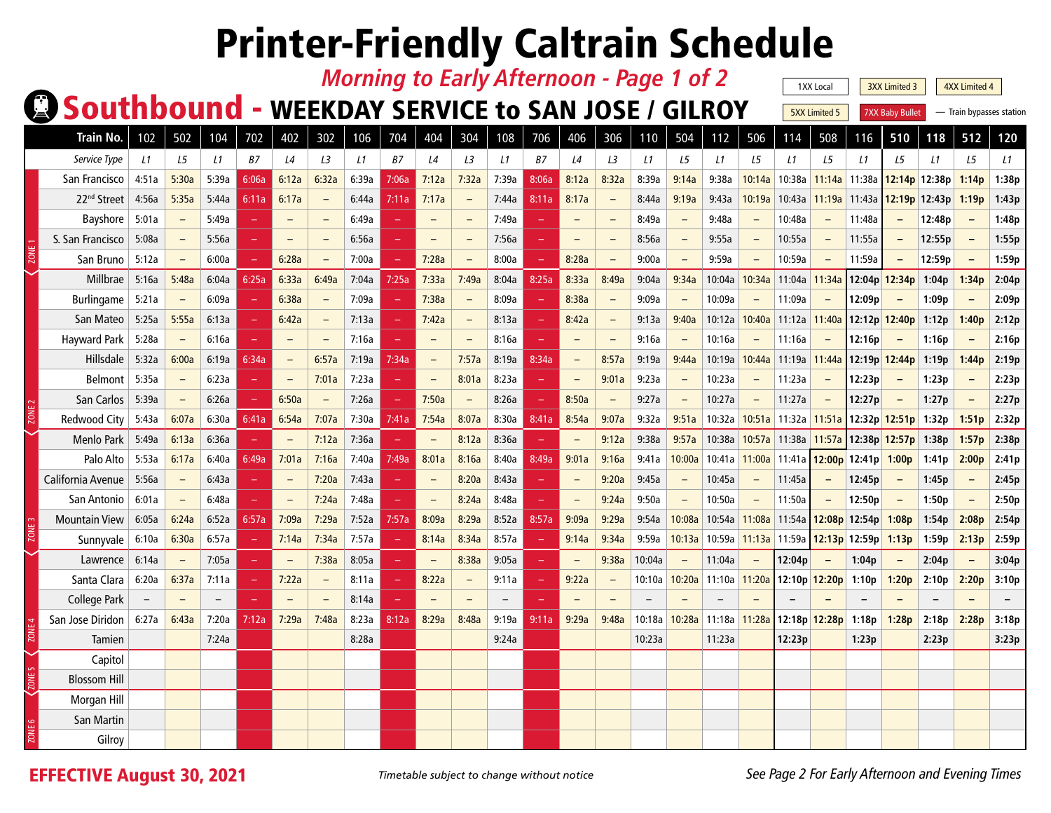| <b>Morning to Early Afternoon - Page 1 of 2</b><br>1XX Local<br>3XX Limited 3<br><b>4XX Limited 4</b> |                         |                                                            |                   |                          |          |                          |                          |       |           |                          |                          |                          |            |                          |                          |        |                          |                          |                          |                        |                          |                          |                          |                          |        |       |
|-------------------------------------------------------------------------------------------------------|-------------------------|------------------------------------------------------------|-------------------|--------------------------|----------|--------------------------|--------------------------|-------|-----------|--------------------------|--------------------------|--------------------------|------------|--------------------------|--------------------------|--------|--------------------------|--------------------------|--------------------------|------------------------|--------------------------|--------------------------|--------------------------|--------------------------|--------|-------|
|                                                                                                       |                         | <b>Q Southbound - WEEKDAY SERVICE to SAN JOSE / GILROY</b> |                   |                          |          |                          |                          |       |           |                          |                          |                          |            |                          |                          |        |                          | <b>5XX Limited 5</b>     |                          | <b>7XX Baby Bullet</b> |                          | - Train bypasses station |                          |                          |        |       |
|                                                                                                       |                         |                                                            |                   |                          |          |                          |                          |       |           |                          |                          |                          |            |                          |                          |        |                          |                          |                          |                        |                          |                          |                          |                          |        |       |
|                                                                                                       | Train No.               | 102                                                        | 502               | 104                      | 702      | 402                      | 302                      | 106   | 704       | 404                      | 304                      | 108                      | 706        | 406                      | 306                      | 110    | 504                      | 112                      | 506                      | 114                    | 508                      | 116                      | 510                      | 118                      | 512    | 120   |
|                                                                                                       | Service Type            | L1                                                         | L5                | L1                       | B7       | L4                       | L3                       | L1    | <b>B7</b> | L4                       | L3                       | L1                       | B7         | L4                       | LЗ                       | L1     | L5                       | L1                       | L5                       | L1                     | L5                       | L1                       | L5                       | L1                       | L5     | L1    |
|                                                                                                       | San Francisco           | 4:51a                                                      | 5:30a             | 5:39a                    | 6:06a    | 6:12a                    | 6:32a                    | 6:39a | 7:06a     | 7:12a                    | 7:32a                    | 7:39a                    | 8:06a      | 8:12a                    | 8:32a                    | 8:39a  | 9:14a                    | 9:38a                    | 10:14a                   | 10:38a                 | 11:14a                   | 11:38a                   | 12:14p                   | 12:38p                   | 1:14p  | 1:38p |
|                                                                                                       | 22 <sup>nd</sup> Street | 4:56a                                                      | 5:35a             | 5:44a                    | 6:11a    | 6:17a                    | $\overline{\phantom{0}}$ | 6:44a | 7:11a     | 7:17a                    | $\overline{\phantom{m}}$ | 7:44a                    | 8:11a      | 8:17a                    | $\qquad \qquad -$        | 8:44a  | 9:19a                    | 9:43a                    | 10:19a                   | 10:43a                 | 11:19a                   | 11:43a                   |                          | $12:19p$ 12:43p 1:19p    |        | 1:43p |
|                                                                                                       | Bayshore                | 5:01a                                                      |                   | 5:49a                    |          | $\overline{\phantom{0}}$ |                          | 6:49a |           |                          |                          | 7:49a                    |            |                          |                          | 8:49a  | $\overline{\phantom{0}}$ | 9:48a                    |                          | 10:48a                 | $\overline{\phantom{m}}$ | 11:48a                   |                          | 12:48p                   |        | 1:48p |
|                                                                                                       | S. San Francisco        | 5:08a                                                      |                   | 5:56a                    |          | $\qquad \qquad -$        | $\overline{\phantom{a}}$ | 6:56a |           |                          | $\qquad \qquad -$        | 7:56a                    |            | $\overline{\phantom{0}}$ | $\overline{\phantom{0}}$ | 8:56a  | $\qquad \qquad -$        | 9:55a                    | $\overline{\phantom{a}}$ | 10:55a                 | $\qquad \qquad -$        | 11:55a                   | $\qquad \qquad -$        | 12:55p                   |        | 1:55p |
|                                                                                                       | San Bruno               | 5:12a                                                      |                   | 6:00a                    | $\equiv$ | 6:28a                    | $\overline{\phantom{a}}$ | 7:00a |           | 7:28a                    | $\qquad \qquad -$        | 8:00a                    | <b>100</b> | 8:28a                    | $\equiv$                 | 9:00a  | $\equiv$                 | 9:59a                    |                          | 10:59a                 | $\overline{\phantom{a}}$ | 11:59a                   | $\overline{\phantom{0}}$ | 12:59p                   |        | 1:59p |
|                                                                                                       | Millbrae                | 5:16a                                                      | 5:48a             | 6:04a                    | 6:25a    | 6:33a                    | 6:49a                    | 7:04a | 7:25a     | 7:33a                    | 7:49a                    | 8:04a                    | 8:25a      | 8:33a                    | 8:49a                    | 9:04a  | 9:34a                    | 10:04a                   | 10:34a                   | 11:04a                 | 11:34a                   | 12:04p                   | 12:34p                   | 1:04p                    | 1:34p  | 2:04p |
|                                                                                                       | Burlingame              | 5:21a                                                      |                   | 6:09a                    |          | 6:38a                    | $\overline{\phantom{a}}$ | 7:09a |           | 7:38a                    | $\overline{\phantom{a}}$ | 8:09a                    |            | 8:38a                    | $\overline{\phantom{0}}$ | 9:09a  | $\qquad \qquad -$        | 10:09a                   |                          | 11:09a                 | $\qquad \qquad -$        | 12:09p                   |                          | 1:09p                    |        | 2:09p |
|                                                                                                       | San Mateo               | 5:25a                                                      | 5:55a             | 6:13a                    |          | 6:42a                    | $\overline{\phantom{0}}$ | 7:13a |           | 7:42a                    | $\qquad \qquad -$        | 8:13a                    |            | 8:42a                    | $\qquad \qquad -$        | 9:13a  | 9:40a                    | 10:12a                   | 10:40a                   | 11:12a 11:40a          |                          |                          | 12:12p 12:40p            | 1:12p                    | 1:40p  | 2:12p |
|                                                                                                       | Hayward Park            | 5:28a                                                      |                   | 6:16a                    |          | $-$                      | $\overline{\phantom{a}}$ | 7:16a |           |                          | $\equiv$                 | 8:16a                    |            |                          | $-$                      | 9:16a  | $\overline{\phantom{a}}$ | 10:16a                   |                          | 11:16a                 |                          | 12:16p                   |                          | 1:16p                    |        | 2:16p |
|                                                                                                       | Hillsdale               | 5:32a                                                      | 6:00a             | 6:19a                    | 6:34a    | $\qquad \qquad -$        | 6:57a                    | 7:19a | 7:34a     | $\overline{\phantom{0}}$ | 7:57a                    | 8:19a                    | 8:34a      | $\overline{\phantom{a}}$ | 8:57a                    | 9:19a  | 9:44a                    | 10:19a                   | 10:44a                   | 11:19a 11:44a          |                          |                          | 12:19p 12:44p            | 1:19p                    | 1:44p  | 2:19p |
|                                                                                                       | <b>Belmont</b>          | 5:35a                                                      |                   | 6:23a                    | ÷        |                          | 7:01a                    | 7:23a |           |                          | 8:01a                    | 8:23a                    |            | $\overline{\phantom{0}}$ | 9:01a                    | 9:23a  | $\overline{\phantom{a}}$ | 10:23a                   |                          | 11:23a                 | $\overline{\phantom{a}}$ | 12:23p                   | $\equiv$                 | 1:23p                    |        | 2:23p |
|                                                                                                       | San Carlos              | 5:39a                                                      | $\qquad \qquad -$ | 6:26a                    | $\equiv$ | 6:50a                    | $\overline{\phantom{0}}$ | 7:26a |           | 7:50a                    | $\overline{\phantom{m}}$ | 8:26a                    |            | 8:50a                    | $\overline{\phantom{m}}$ | 9:27a  | $\qquad \qquad -$        | 10:27a                   |                          | 11:27a                 | $\overline{\phantom{a}}$ | 12:27p                   | $\equiv$                 | 1:27p                    | $\sim$ | 2:27p |
|                                                                                                       | Redwood City            | 5:43a                                                      | 6:07a             | 6:30a                    | 6:41a    | 6:54a                    | 7:07a                    | 7:30a | 7:41a     | 7:54a                    | 8:07a                    | 8:30a                    | 8:41a      | 8:54a                    | 9:07a                    | 9:32a  | 9:51a                    | 10:32a                   |                          | 10:51a 11:32a 11:51a   |                          |                          | 12:32p 12:51p 1:32p      |                          | 1:51p  | 2:32p |
|                                                                                                       | Menlo Park              | 5:49a                                                      | 6:13a             | 6:36a                    |          |                          | 7:12a                    | 7:36a |           |                          | 8:12a                    | 8:36a                    |            |                          | 9:12a                    | 9:38a  | 9:57a                    | 10:38a                   | 10:57a                   | 11:38a                 | 11:57a                   |                          | 12:38p 12:57p            | 1:38p                    | 1:57p  | 2:38p |
|                                                                                                       | Palo Alto               | 5:53a                                                      | 6:17a             | 6:40a                    | 6:49a    | 7:01a                    | 7:16a                    | 7:40a | 7:49a     | 8:01a                    | 8:16a                    | 8:40a                    | 8:49a      | 9:01a                    | 9:16a                    | 9:41a  | 10:00a                   | 10:41a                   | 11:00a                   | 11:41a                 | 12:00p                   | 12:41p                   | 1:00p                    | 1:41p                    | 2:00p  | 2:41p |
|                                                                                                       | California Avenue       | 5:56a                                                      | $\equiv$          | 6:43a                    | ÷        | $\overline{\phantom{0}}$ | 7:20a                    | 7:43a |           |                          | 8:20a                    | 8:43a                    |            | $\overline{\phantom{0}}$ | 9:20a                    | 9:45a  | $\overline{\phantom{a}}$ | 10:45a                   |                          | 11:45a                 |                          | 12:45p                   | $\qquad \qquad -$        | 1:45p                    |        | 2:45p |
|                                                                                                       | San Antonio             | 6:01a                                                      |                   | 6:48a                    |          |                          | 7:24a                    | 7:48a |           |                          | 8:24a                    | 8:48a                    |            |                          | 9:24a                    | 9:50a  | $\overline{\phantom{0}}$ | 10:50a                   |                          | 11:50a                 |                          | 12:50p                   | $\equiv$                 | 1:50p                    |        | 2:50p |
|                                                                                                       | <b>Mountain View</b>    | 6:05a                                                      | 6:24a             | 6:52a                    | 6:57a    | 7:09a                    | 7:29a                    | 7:52a | 7:57a     | 8:09a                    | 8:29a                    | 8:52a                    | 8:57a      | 9:09a                    | 9:29a                    | 9:54a  | 10:08a                   | 10:54a                   | 11:08a                   | 11:54a                 | 12:08p                   | 12:54p                   | 1:08p                    | 1:54p                    | 2:08p  | 2:54p |
|                                                                                                       | Sunnyvale               | 6:10a                                                      | 6:30a             | 6:57a                    | $\equiv$ | 7:14a                    | 7:34a                    | 7:57a |           | 8:14a                    | 8:34a                    | 8:57a                    |            | 9:14a                    | 9:34a                    | 9:59a  | 10:13a                   | 10:59a                   | 11:13a 11:59a            |                        |                          | 12:13p 12:59p            | 1:13p                    | 1:59p                    | 2:13p  | 2:59p |
|                                                                                                       | Lawrence                | 6:14a                                                      |                   | 7:05a                    |          |                          | 7:38a                    | 8:05a |           |                          | 8:38a                    | 9:05a                    |            |                          | 9:38a                    | 10:04a | $\overline{\phantom{a}}$ | 11:04a                   |                          | 12:04p                 |                          | 1:04p                    | $\equiv$                 | 2:04p                    |        | 3:04p |
|                                                                                                       | Santa Clara             | 6:20a                                                      | 6:37a             | 7:11a                    |          | 7:22a                    | $\overline{\phantom{a}}$ | 8:11a |           | 8:22a                    | $\qquad \qquad -$        | 9:11a                    |            | 9:22a                    | $\qquad \qquad -$        | 10:10a | 10:20a                   | 11:10a                   | 11:20a                   |                        | 12:10p 12:20p            | 1:10p                    | 1:20p                    | 2:10p                    | 2:20p  | 3:10p |
|                                                                                                       | College Park            | $\qquad \qquad -$                                          |                   | $\overline{\phantom{a}}$ | $\equiv$ | -                        | $\overline{\phantom{a}}$ | 8:14a |           |                          | $\equiv$                 | $\overline{\phantom{0}}$ |            |                          | $-$                      |        |                          | $\overline{\phantom{0}}$ |                          |                        |                          |                          |                          | $\overline{\phantom{0}}$ |        |       |
|                                                                                                       | San Jose Diridon        | 6:27a                                                      | 6:43a             | 7:20a                    | 7:12a    | 7:29a                    | 7:48a                    | 8:23a | 8:12a     | 8:29a                    | 8:48a                    | 9:19a                    | 9:11a      | 9:29a                    | 9:48a                    | 10:18a | 10:28a                   | 11:18a                   | 11:28a                   |                        | 12:18p 12:28p            | 1:18p                    | 1:28p                    | 2:18p                    | 2:28p  | 3:18p |
|                                                                                                       | Tamien                  |                                                            |                   | 7:24a                    |          |                          |                          | 8:28a |           |                          |                          | 9:24a                    |            |                          |                          | 10:23a |                          | 11:23a                   |                          | 12:23p                 |                          | 1:23p                    |                          | 2:23p                    |        | 3:23p |
|                                                                                                       | Capitol                 |                                                            |                   |                          |          |                          |                          |       |           |                          |                          |                          |            |                          |                          |        |                          |                          |                          |                        |                          |                          |                          |                          |        |       |
|                                                                                                       | <b>Blossom Hill</b>     |                                                            |                   |                          |          |                          |                          |       |           |                          |                          |                          |            |                          |                          |        |                          |                          |                          |                        |                          |                          |                          |                          |        |       |
|                                                                                                       | Morgan Hill             |                                                            |                   |                          |          |                          |                          |       |           |                          |                          |                          |            |                          |                          |        |                          |                          |                          |                        |                          |                          |                          |                          |        |       |
|                                                                                                       | San Martin              |                                                            |                   |                          |          |                          |                          |       |           |                          |                          |                          |            |                          |                          |        |                          |                          |                          |                        |                          |                          |                          |                          |        |       |
|                                                                                                       | Gilroy                  |                                                            |                   |                          |          |                          |                          |       |           |                          |                          |                          |            |                          |                          |        |                          |                          |                          |                        |                          |                          |                          |                          |        |       |